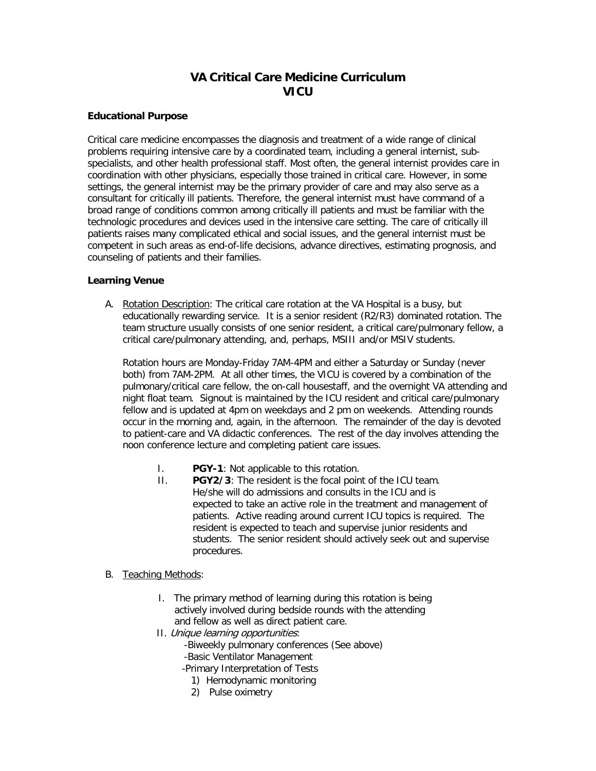# **VA Critical Care Medicine Curriculum VICU**

# **Educational Purpose**

Critical care medicine encompasses the diagnosis and treatment of a wide range of clinical problems requiring intensive care by a coordinated team, including a general internist, subspecialists, and other health professional staff. Most often, the general internist provides care in coordination with other physicians, especially those trained in critical care. However, in some settings, the general internist may be the primary provider of care and may also serve as a consultant for critically ill patients. Therefore, the general internist must have command of a broad range of conditions common among critically ill patients and must be familiar with the technologic procedures and devices used in the intensive care setting. The care of critically ill patients raises many complicated ethical and social issues, and the general internist must be competent in such areas as end-of-life decisions, advance directives, estimating prognosis, and counseling of patients and their families.

# **Learning Venue**

A. Rotation Description: The critical care rotation at the VA Hospital is a busy, but educationally rewarding service. It is a senior resident (R2/R3) dominated rotation. The team structure usually consists of one senior resident, a critical care/pulmonary fellow, a critical care/pulmonary attending, and, perhaps, MSIII and/or MSIV students.

Rotation hours are Monday-Friday 7AM-4PM and either a Saturday or Sunday (never both) from 7AM-2PM. At all other times, the VICU is covered by a combination of the pulmonary/critical care fellow, the on-call housestaff, and the overnight VA attending and night float team. Signout is maintained by the ICU resident and critical care/pulmonary fellow and is updated at 4pm on weekdays and 2 pm on weekends. Attending rounds occur in the morning and, again, in the afternoon. The remainder of the day is devoted to patient-care and VA didactic conferences. The rest of the day involves attending the noon conference lecture and completing patient care issues.

- I. **PGY-1**: Not applicable to this rotation.
- II. **PGY2/3**: The resident is the focal point of the ICU team. He/she will do admissions and consults in the ICU and is expected to take an active role in the treatment and management of patients. Active reading around current ICU topics is required. The resident is expected to teach and supervise junior residents and students. The senior resident should actively seek out and supervise procedures.
- B. Teaching Methods:
	- I. The primary method of learning during this rotation is being actively involved during bedside rounds with the attending and fellow as well as direct patient care.
	- II. Unique learning opportunities:
		- -Biweekly pulmonary conferences (See above)
		- -Basic Ventilator Management
		- -Primary Interpretation of Tests
			- 1) Hemodynamic monitoring
			- 2) Pulse oximetry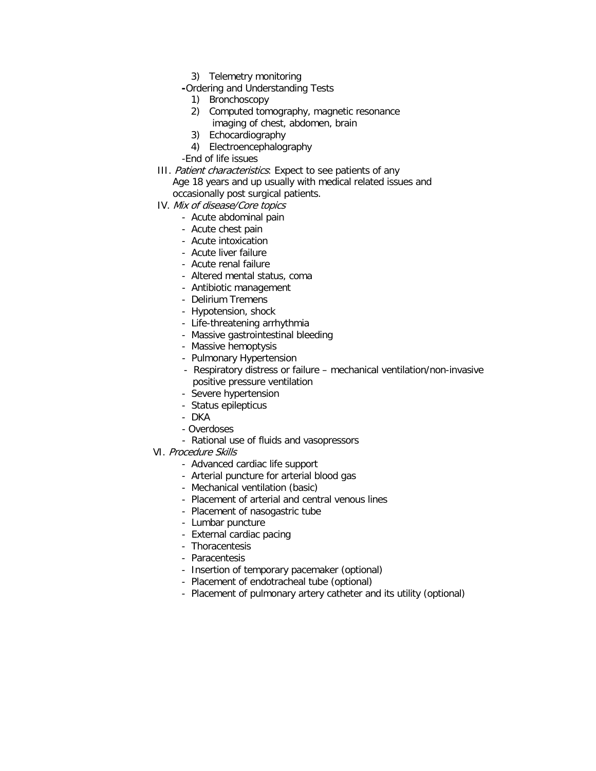- 3) Telemetry monitoring
- **-**Ordering and Understanding Tests
	- 1) Bronchoscopy
	- 2) Computed tomography, magnetic resonance
		- imaging of chest, abdomen, brain
	- 3) Echocardiography
	- 4) Electroencephalography
- -End of life issues
- III. Patient characteristics: Expect to see patients of any Age 18 years and up usually with medical related issues and occasionally post surgical patients.
- IV. Mix of disease/Core topics
	- Acute abdominal pain
		- Acute chest pain
		- Acute intoxication
		- Acute liver failure
		- Acute renal failure
		- Altered mental status, coma
		- Antibiotic management
		- Delirium Tremens
		- Hypotension, shock
		- Life-threatening arrhythmia
		- Massive gastrointestinal bleeding
		- Massive hemoptysis
		- Pulmonary Hypertension
		- Respiratory distress or failure mechanical ventilation/non-invasive positive pressure ventilation
		- Severe hypertension
		- Status epilepticus
		- DKA
		- Overdoses
		- Rational use of fluids and vasopressors
- VI. Procedure Skills
	- Advanced cardiac life support
	- Arterial puncture for arterial blood gas
	- Mechanical ventilation (basic)
	- Placement of arterial and central venous lines
	- Placement of nasogastric tube
	- Lumbar puncture
	- External cardiac pacing
	- Thoracentesis
	- Paracentesis
	- Insertion of temporary pacemaker (optional)
	- Placement of endotracheal tube (optional)
	- Placement of pulmonary artery catheter and its utility (optional)